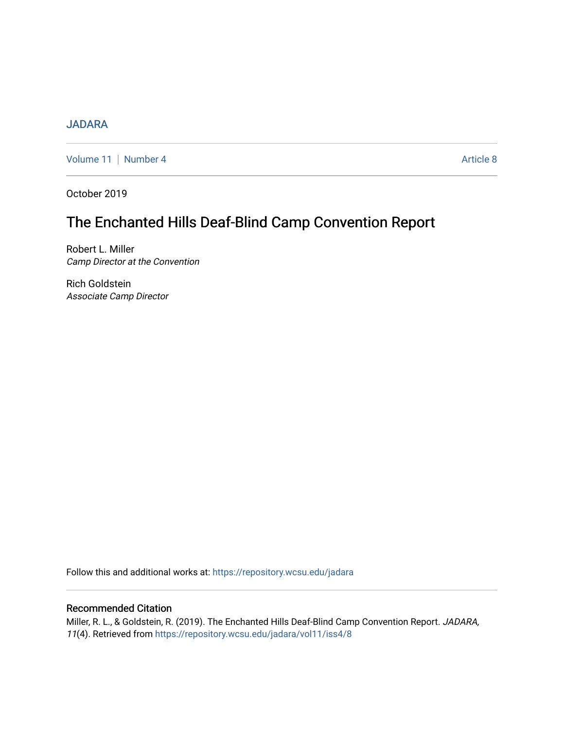# [JADARA](https://repository.wcsu.edu/jadara)

[Volume 11](https://repository.wcsu.edu/jadara/vol11) | [Number 4](https://repository.wcsu.edu/jadara/vol11/iss4) Article 8

October 2019

# The Enchanted Hills Deaf-Blind Camp Convention Report

Robert L. Miller Camp Director at the Convention

Rich Goldstein Associate Camp Director

Follow this and additional works at: [https://repository.wcsu.edu/jadara](https://repository.wcsu.edu/jadara?utm_source=repository.wcsu.edu%2Fjadara%2Fvol11%2Fiss4%2F8&utm_medium=PDF&utm_campaign=PDFCoverPages)

# Recommended Citation

Miller, R. L., & Goldstein, R. (2019). The Enchanted Hills Deaf-Blind Camp Convention Report. JADARA, 11(4). Retrieved from [https://repository.wcsu.edu/jadara/vol11/iss4/8](https://repository.wcsu.edu/jadara/vol11/iss4/8?utm_source=repository.wcsu.edu%2Fjadara%2Fvol11%2Fiss4%2F8&utm_medium=PDF&utm_campaign=PDFCoverPages)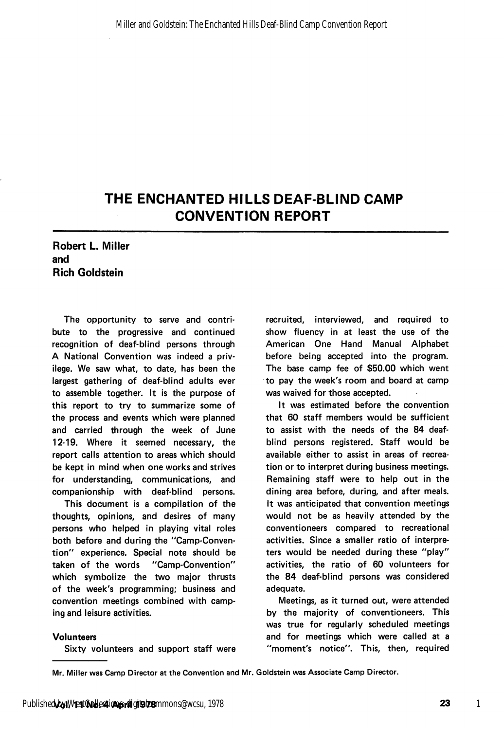# THE ENCHANTED HILLS DEAF-BLIND CAMP CONVENTION REPORT

# Robert L. Miller and Rich Goldstein

The opportunity to serve and contri bute to the progressive and continued recognition of deaf-blind persons through A National Convention was indeed a priv ilege. We saw what, to date, has been the largest gathering of deaf-blind adults ever to assemble together. It is the purpose of this report to try to summarize some of the process and events which were planned and carried through the week of June 12-19. Where it seemed necessary, the report calls attention to areas which should be kept in mind when one works and strives for understanding, communications, and companionship with deaf-blind persons.

This document is a compilation of the thoughts, opinions, and desires of many persons who helped in playing vital roles both before and during the "Camp-Conven tion" experience. Special note should be taken of the words "Camp-Convention" which symbolize the two major thrusts of the week's programming; business and convention meetings combined with camp ing and leisure activities.

#### Volunteers

Sixty volunteers and support staff were

recruited, interviewed, and required to show fluency in at least the use of the American One Hand Manual Alphabet before being accepted into the program. The base camp fee of \$50.00 which went to pay the week's room and board at camp was waived for those accepted.

It was estimated before the convention that 60 staff members would be sufficient to assist with the needs of the 84 deafblind persons registered. Staff would be available either to assist in areas of recrea tion or to interpret during business meetings. Remaining staff were to help out in the dining area before, during, and after meals. It was anticipated that convention meetings would not be as heavily attended by the conventioneers compared to recreational activities. Since a smaller ratio of interpre ters would be needed during these "play" activities, the ratio of 60 volunteers for the 84 deaf-blind persons was considered adequate.

Meetings, as it turned out, were attended by the majority of conventioneers. This was true for regularly scheduled meetings and for meetings which were called at a "moment's notice". This, then, required

Mr. Miller was Camp Director at the Convention and Mr. Goldstein was Associate Camp Director.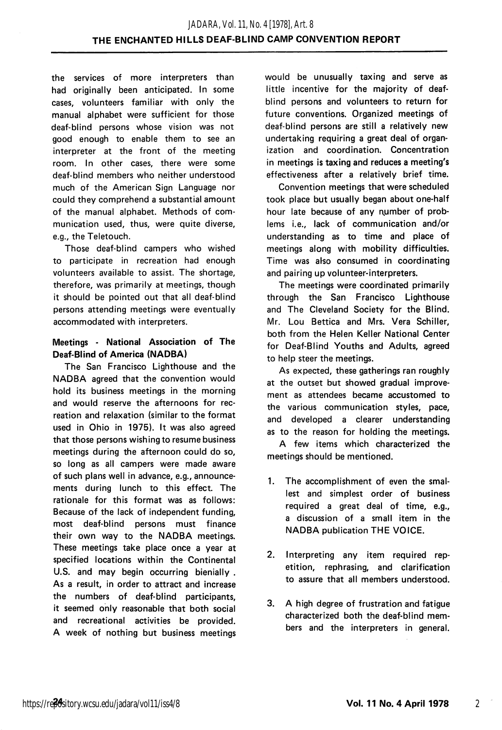the services of more interpreters than had originally been anticipated. In some cases, volunteers familiar with only the manual alphabet were sufficient for those deaf-blind persons whose vision was not good enough to enable them to see an interpreter at the front of the meeting room. In other cases, there were some deaf-blind members who neither understood much of the American Sign Language nor could they comprehend a substantial amount of the manual alphabet. Methods of com munication used, thus, were quite diverse, e.g., the Teletouch.

Those deaf-blind campers who wished to participate in recreation had enough volunteers available to assist. The shortage, therefore, was primarily at meetings, though it should be pointed out that all deaf-blind persons attending meetings were eventually accommodated with interpreters.

# Meetings - National Association of The Deaf-Blind of America (NADBA)

The San Francisco Lighthouse and the NADBA agreed that the convention would hold its business meetings in the morning and would reserve the afternoons for rec reation and relaxation (similar to the format used in Ohio in 1975). It was also agreed that those persons wishing to resume business meetings during the afternoon could do so, so long as ail campers were made aware of such plans well in advance, e.g., announce ments during lunch to this effect. The rationale for this format was as follows: Because of the lack of independent funding, most deaf-blind persons must finance their own way to the NADBA meetings. These meetings take place once a year at specified locations within the Continental U.S. and may begin occurring bienially . As a result, in order to attract and increase the numbers of deaf-blind participants, it seemed only reasonable that both social and recreational activities be provided. A week of nothing but business meetings

would be unusually taxing and serve as little incentive for the majority of deafblind persons and volunteers to return for future conventions. Organized meetings of deaf-blind persons are still a relatively new undertaking requiring a great deal of organ ization and coordination. Concentration in meetings is taxing and reduces a meeting's effectiveness after a relatively brief time.

Convention meetings that were scheduled took place but usually began about one-half hour late because of any number of problems i.e., lack of communication and/or understanding as to time and place of meetings along with mobility difficulties. Time was also consumed in coordinating and pairing up volunteer-interpreters.

The meetings were coordinated primarily through the San Francisco Lighthouse and The Cleveland Society for the Blind. Mr. Lou Bettica and Mrs. Vera Schiller, both from the Helen Keller National Center for Deaf-Blind Youths and Adults, agreed to help steer the meetings.

As expected, these gatherings ran roughly at the outset but showed gradual improve ment as attendees became accustomed to the various communication styles, pace, and developed a clearer understanding as to the reason for holding the meetings.

A few items which characterized the meetings should be mentioned.

- 1. The accomplishment of even the smal lest and simplest order of business required a great deal of time, e.g., a discussion of a small item in the NADBA publication THE VOICE.
- 2. Interpreting any item required rep etition, rephrasing, and clarification to assure that all members understood.
- 3. A high degree of frustration and fatigue characterized both the deaf-blind mem bers and the interpreters in general.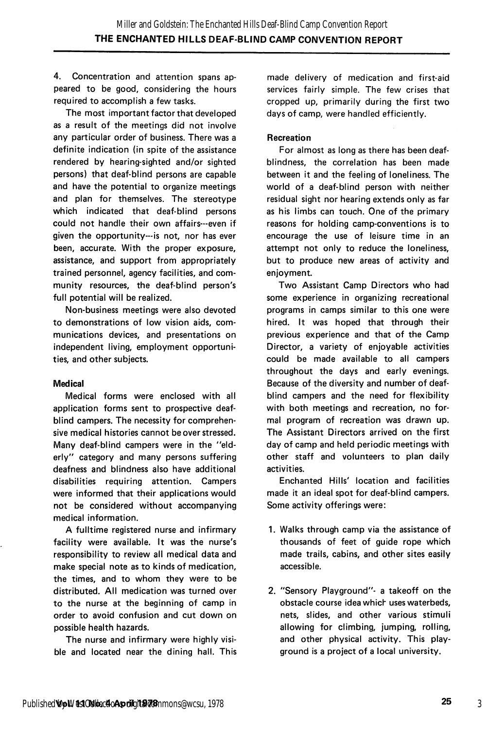4. Concentration and attention spans ap peared to be good, considering the hours required to accomplish a few tasks.

The most important factor that developed as a result of the meetings did not involve any particular order of business. There was a definite indication (in spite of the assistance rendered by hearing-sighted and/or sighted persons) that deaf-blind persons are capable and have the potential to organize meetings and plan for themselves. The stereotype which indicated that deaf-blind persons could not handle their own affairs—even if given the opportunity—is not, nor has ever been, accurate. With the proper exposure, assistance, and support from appropriately trained personnel, agency facilities, and com munity resources, the deaf-blind person's full potential will be realized.

Non-business meetings were also devoted to demonstrations of low vision aids, com munications devices, and presentations on independent living, employment opportuni ties, and other subjects.

#### Medical

Medical forms were enclosed with all application forms sent to prospective deafblind campers. The necessity for comprehen sive medical histories cannot be over stressed. Many deaf-blind campers were in the "eld erly" category and many persons suffering deafness and blindness also have additional disabilities requiring attention. Campers were informed that their applications would not be considered without accompanying medical information.

A fulltime registered nurse and infirmary facility were available. It was the nurse's responsibility to review all medical data and make special note as to kinds of medication, the times, and to whom they were to be distributed. All medication was turned over to the nurse at the beginning of camp in order to avoid confusion and cut down on possible health hazards.

The nurse and infirmary were highly visi ble and located near the dining hall. This

made delivery of medication and first-aid services fairly simple. The few crises that cropped up, primarily during the first two days of camp, were handled efficiently.

#### Recreation

For almost as long as there has been deafblindness, the correlation has been made between it and the feeling of loneliness. The world of a deaf-blind person with neither residual sight nor hearing extends only as far as his limbs can touch. One of the primary reasons for holding camp-conventions is to encourage the use of leisure time in an attempt not only to reduce the loneliness, but to produce new areas of activity and enjoyment.

Two Assistant Camp Directors who had some experience in organizing recreational programs in camps similar to this one were hired. It was hoped that through their previous experience and that of the Camp Director, a variety of enjoyable activities could be made available to all campers throughout the days and early evenings. Because of the diversity and number of deafblind campers and the need for flexibility with both meetings and recreation, no for mal program of recreation was drawn up. The Assistant Directors arrived on the first day of camp and held periodic meetings with other staff and volunteers to plan daily activities.

Enchanted Hills' location and facilities made it an ideal spot for deaf-blind campers. Some activity offerings were:

- 1. Walks through camp via the assistance of thousands of feet of guide rope which made trails, cabins, and other sites easily accessible.
- 2. "Sensory Playground"- a takeoff on the obstacle course idea which uses waterbeds, nets, slides, and other various stimuli allowing for climbing, jumping, rolling, and other physical activity. This play ground is a project of a local university.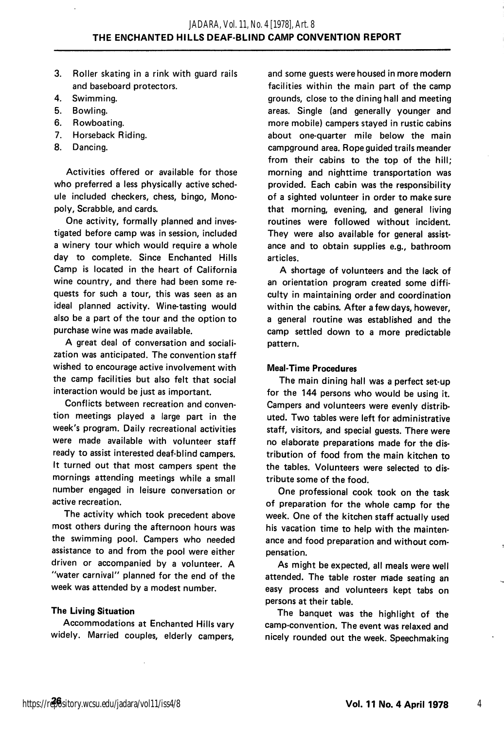- 3. Roller skating in a rink with guard rails and baseboard protectors.
- 4. Swimming.
- 5. Bowling.
- 6. Rowboating.
- 7. Horseback Riding.
- 8. Dancing.

Activities offered or available for those who preferred a less physically active schedule included checkers, chess, bingo. Mono poly, Scrabble, and cards.

One activity, formally planned and inves tigated before camp was in session, included a winery tour which would require a whole day to complete. Since Enchanted Hills Camp is located in the heart of California wine country, and there had been some re quests for such a tour, this was seen as an ideal planned activity. Wine-tasting would also be a part of the tour and the option to purchase wine was made available.

A great deal of conversation and sociali zation was anticipated. The convention staff wished to encourage active involvement with the camp facilities but also felt that social interaction would be just as important.

Conflicts between recreation and conven tion meetings played a large part in the week's program. Daily recreational activities were made available with volunteer staff ready to assist interested deaf-blind campers. It turned out that most campers spent the mornings attending meetings while a small number engaged in leisure conversation or active recreation.

The activity which took precedent above most others during the afternoon hours was the swimming pool. Campers who needed assistance to and from the pool were either driven or accompanied by a volunteer. A "water carnival" planned for the end of the week was attended by a modest number.

## The Living Situation

Accommodations at Enchanted Hills vary widely. Married couples, elderly campers.

and some guests were housed in more modern facilities within the main part of the camp grounds, close to the dining hall and meeting areas. Single (and generally younger and more mobile) campers stayed in rustic cabins about one-quarter mile below the main campground area. Rope guided trails meander from their cabins to the top of the hill; morning and nighttime transportation was provided. Each cabin was the responsibility of a sighted volunteer in order to make sure that morning, evening, and general living routines were followed without incident. They were also available for general assistance and to obtain supplies e.g., bathroom articles.

A shortage of volunteers and the lack of an orientation program created some diffi culty in maintaining order and coordination within the cabins. After a few days, however, a general routine was established and the camp settled down to a more predictable pattern.

#### Meal-Time Procedures

The main dining hall was a perfect set-up for the 144 persons who would be using it. Campers and volunteers were evenly distrib uted. Two tables were left for administrative staff, visitors, and special guests. There were no elaborate preparations made for the dis tribution of food from the main kitchen to the tables. Volunteers were selected to dis tribute some of the food.

One professional cook took on the task of preparation for the whole camp for the week. One of the kitchen staff actually used his vacation time to help with the mainten ance and food preparation and without com pensation.

As might be expected, all meals were well attended. The table roster made seating an easy process and volunteers kept tabs on persons at their table.

The banquet was the highlight of the camp-convention. The event was relaxed and nicely rounded out the week. Speechmaking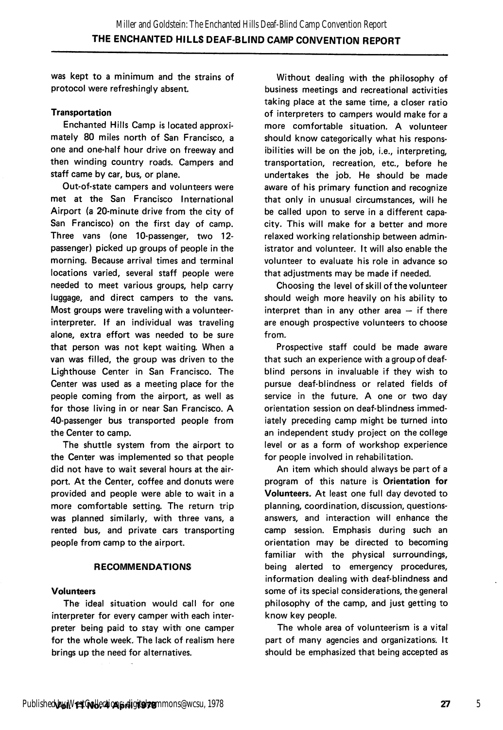was kept to a minimum and the strains of protocol were refreshingly absent.

#### Transportation

Enchanted Hills Camp is located approxi mately 80 miles north of San Francisco, a one and one-half hour drive on freeway and then winding country roads. Campers and staff came by car, bus, or plane.

Out-of-state campers and volunteers were met at the San Francisco International Airport (a 20-minute drive from the city of San Francisco) on the first day of camp. Three vans (one 10-passenger, two 12 passenger) picked up groups of people in the morning. Because arrival times and terminal locations varied, several staff people were needed to meet various groups, help carry luggage, and direct campers to the vans. Most groups were traveling with a volunteerinterpreter. If an individual was traveling alone, extra effort was needed to be sure that person was not kept waiting. When a van was filled, the group was driven to the Lighthouse Center in San Francisco. The Center was used as a meeting place for the people coming from the airport, as well as for those living in or near San Francisco. A 40-passenger bus transported people from the Center to camp.

The shuttle system from the airport to the Center was implemented so that people did not have to wait several hours at the air port. At the Center, coffee and donuts were provided and people were able to wait in a more comfortable setting. The return trip was planned similarly, with three vans, a rented bus, and private cars transporting people from camp to the airport.

#### RECOMMENDATIONS

#### Volunteers

The ideal situation would call for one interpreter for every camper with each inter preter being paid to stay with one camper for the whole week. The lack of realism here brings up the need for alternatives.

Without dealing with the philosophy of business meetings and recreational activities taking place at the same time, a closer ratio of interpreters to campers would make for a more comfortable situation. A volunteer should know categorically what his respons ibilities will be on the job, i.e., interpreting, transportation, recreation, etc., before he undertakes the job. He should be made aware of his primary function and recognize that only in unusual circumstances, will he be called upon to serve in a different capa city. This will make for a better and more relaxed working relationship between admin istrator and volunteer. It will also enable the volunteer to evaluate his role in advance so that adjustments may be made if needed.

Choosing the level of skill of the volunteer should weigh more heavily on his ability to interpret than in any other area  $-$  if there are enough prospective volunteers to choose from.

Prospective staff could be made aware that such an experience with a group of deafblind persons in invaluable if they wish to pursue deaf-blindness or related fields of service in the future. A one or two day orientation session on deaf-blindness immed iately preceding camp might be turned into an independent study project on the college level or as a form of workshop experience for people involved in rehabilitation.

An item which should always be part of a program of this nature is Orientation for Volunteers. At least one full day devoted to planning, coordination, discussion, questionsanswers, and interaction will enhance the camp session. Emphasis during such an orientation may be directed to becoming familiar with the physical surroundings, being alerted to emergency procedures, information dealing with deaf-blindness and some of its special considerations, the general philosophy of the camp, and just getting to know key people.

The whole area of volunteerism is a vital part of many agencies and organizations. It should be emphasized that being accepted as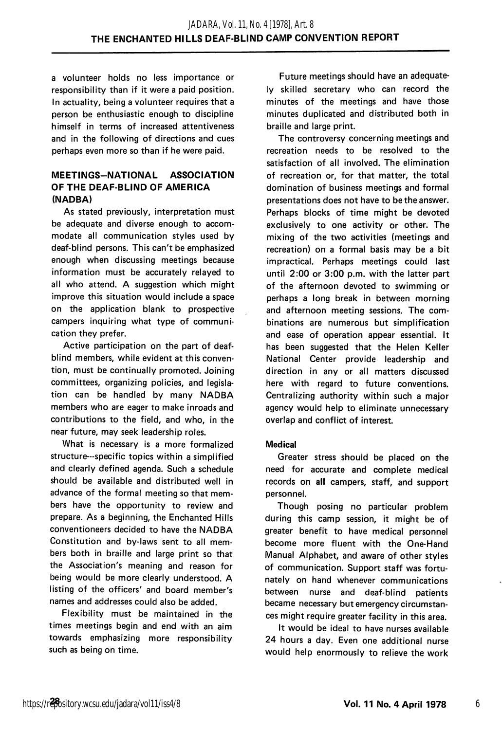a volunteer holds no less importance or responsibility than if it were a paid position. In actuality, being a volunteer requires that a person be enthusiastic enough to discipline himself in terms of increased attentiveness and in the following of directions and cues perhaps even more so than if he were paid.

# MEETINGS-NATIONAL ASSOCIATION OF THE DEAF-BLIND OF AMERICA (NADBA)

As stated previously, interpretation must be adequate and diverse enough to accom modate all communication styles used by deaf-blind persons. This can't be emphasized enough when discussing meetings because information must be accurately relayed to all who attend. A suggestion which might improve this situation would include a space on the application blank to prospective campers inquiring what type of communi cation they prefer.

Active participation on the part of deafblind members, while evident at this conven tion, must be continually promoted. Joining committees, organizing policies, and legisla tion can be handled by many NADBA members who are eager to make inroads and contributions to the field, and who, in the near future, may seek leadership roles.

What is necessary is a more formalized structure—specific topics within a simplified and clearly defined agenda. Such a schedule should be available and distributed well in advance of the formal meeting so that mem bers have the opportunity to review and prepare. As a beginning, the Enchanted Hills conventioneers decided to have the NADBA Constitution and by-laws sent to all mem bers both in braille and large print so that the Association's meaning and reason for being would be more clearly understood. A listing of the officers' and board member's names and addresses could also be added.

Flexibility must be maintained in the times meetings begin and end with an aim towards emphasizing more responsibility such as being on time.

Future meetings should have an adequate ly skilled secretary who can record the minutes of the meetings and have those minutes duplicated and distributed both in braille and large print.

The controversy concerning meetings and recreation needs to be resolved to the satisfaction of all involved. The elimination of recreation or, for that matter, the total domination of business meetings and formal presentations does not have to be the answer. Perhaps blocks of time might be devoted exclusively to one activity or other. The mixing of the two activities (meetings and recreation) on a formal basis may be a bit impractical. Perhaps meetings could last until 2:00 or 3:00 p.m. with the latter part of the afternoon devoted to swimming or perhaps a long break in between morning and afternoon meeting sessions. The com binations are numerous but simplification and ease of operation appear essential. It has been suggested that the Helen Keller National Center provide leadership and direction in any or all matters discussed here with regard to future conventions. Centralizing authority within such a major agency would help to eliminate unnecessary overlap and conflict of interest.

## Medical

Greater stress should be placed on the need for accurate and complete medical records on all campers, staff, and support personnel.

Though posing no particular problem during this camp session, it might be of greater benefit to have medical personnel become more fluent with the One-Hand Manual Alphabet, and aware of other styles of communication. Support staff was fortu nately on hand whenever communications between nurse and deaf-blind patients became necessary but emergency circumstan ces might require greater facility in this area.

It would be ideal to have nurses available 24 hours a day. Even one additional nurse would help enormously to relieve the work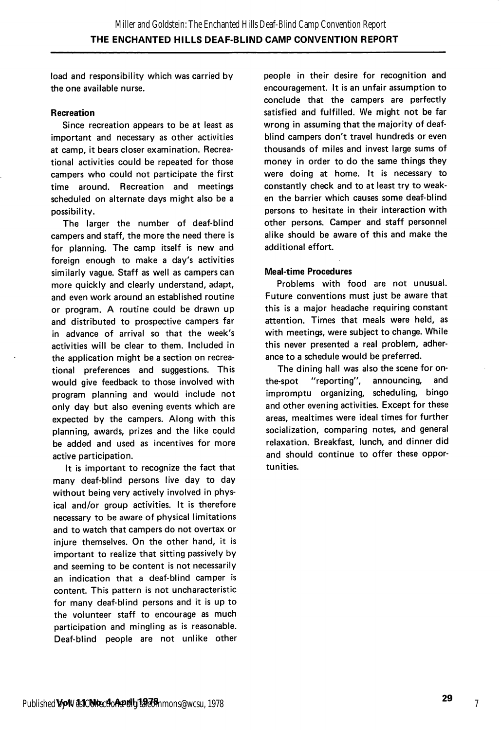load and responsibility which was carried by the one available nurse.

## Recreation

Since recreation appears to be at least as important and necessary as other activities at camp, it bears closer examination. Recrea tional activities could be repeated for those campers who could not participate the first time around. Recreation and meetings scheduled on alternate days might also be a possibility.

The larger the number of deaf-blind campers and staff, the more the need there is for planning. The camp itself is new and foreign enough to make a day's activities similarly vague. Staff as well as campers can more quickly and clearly understand, adapt, and even work around an established routine or program. A routine could be drawn up and distributed to prospective campers far in advance of arrival so that the week's activities will be clear to them. Included in the application might be a section on recrea tional preferences and suggestions. This would give feedback to those involved with program planning and would include not only day but also evening events which are expected by the campers. Along with this planning, awards, prizes and the like could be added and used as incentives for more active participation.

It is important to recognize the fact that many deaf-blind persons live day to day without being very actively involved in phys ical and/or group activities. It is therefore necessary to be aware of physical limitations and to watch that campers do not overtax or injure themselves. On the other hand, it is important to realize that sitting passively by and seeming to be content is not necessarily an indication that a deaf-blind camper is content. This pattern is not uncharacteristic for many deaf-blind persons and it is up to the volunteer staff to encourage as much participation and mingling as is reasonable. Deaf-blind people are not unlike other

people in their desire for recognition and encouragement. It is an unfair assumption to conclude that the campers are perfectly satisfied and fulfilled. We might not be far wrong in assuming that the majority of deafblind campers don't travel hundreds or even thousands of miles and invest large sums of money in order to do the same things they were doing at home. It is necessary to constantly check and to at least try to weak en the barrier which causes some deaf-blind persons to hesitate in their interaction with other persons. Camper and staff personnel alike should be aware of this and make the additional effort.

## Meal-time Procedures

Problems with food are not unusual. Future conventions must just be aware that this is a major headache requiring constant attention. Times that meals were held, as with meetings, were subject to change. While this never presented a real problem, adher ance to a schedule would be preferred.

The dining hall was also the scene for onthe-spot "reporting", announcing, and impromptu organizing, scheduling, bingo and other evening activities. Except for these areas, mealtimes were ideal times for further socialization, comparing notes, and general relaxation. Breakfast, lunch, and dinner did and should continue to offer these oppor tunities.